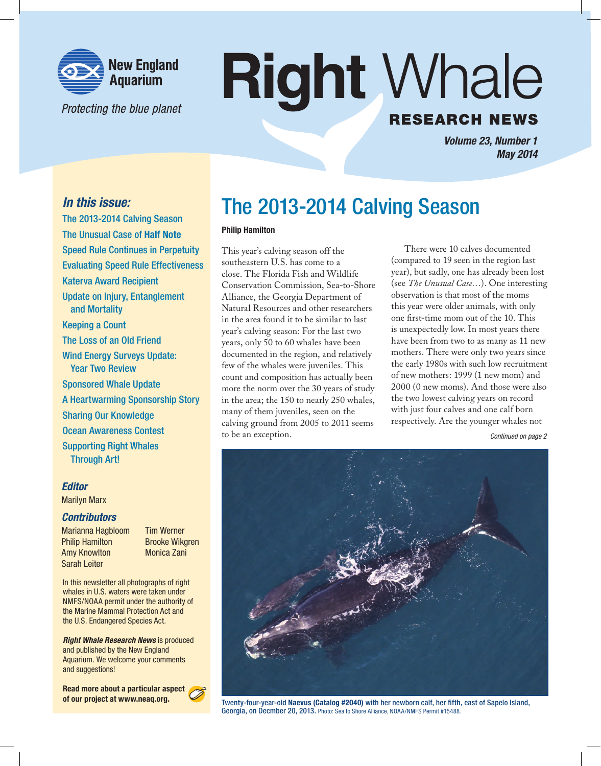

Protecting the blue planet

## **Right Whale RESEARCH NEWS**

*Volume 23, Number 1 May 2014*

## *In this issue:*

The 2013-2014 Calving Season The Unusual Case of Half Note Speed Rule Continues in Perpetuity Evaluating Speed Rule Effectiveness Katerva Award Recipient Update on Injury, Entanglement and Mortality Keeping a Count The Loss of an Old Friend Wind Energy Surveys Update: Year Two Review Sponsored Whale Update A Heartwarming Sponsorship Story Sharing Our Knowledge Ocean Awareness Contest Supporting Right Whales Through Art!

#### *Editor*

Marilyn Marx

#### *Contributors*

Marianna Hagbloom Tim Werner Philip Hamilton Brooke Wikgren Amy Knowlton Monica Zani Sarah Leiter

In this newsletter all photographs of right whales in U.S. waters were taken under NMFS/NOAA permit under the authority of the Marine Mammal Protection Act and the U.S. Endangered Species Act.

*Right Whale Research News* is produced and published by the New England Aquarium. We welcome your comments and suggestions!

Read more about a particular aspect of our project at www.neaq.org.



## The 2013-2014 Calving Season

#### Philip Hamilton

This year's calving season off the southeastern U.S. has come to a close. The Florida Fish and Wildlife Conservation Commission, Sea-to-Shore Alliance, the Georgia Department of Natural Resources and other researchers in the area found it to be similar to last year's calving season: For the last two years, only 50 to 60 whales have been documented in the region, and relatively few of the whales were juveniles. This count and composition has actually been more the norm over the 30 years of study in the area; the 150 to nearly 250 whales, many of them juveniles, seen on the calving ground from 2005 to 2011 seems to be an exception.

There were 10 calves documented (compared to 19 seen in the region last year), but sadly, one has already been lost (see *The Unusual Case…*). One interesting observation is that most of the moms this year were older animals, with only one first-time mom out of the 10. This is unexpectedly low. In most years there have been from two to as many as 11 new mothers. There were only two years since the early 1980s with such low recruitment of new mothers: 1999 (1 new mom) and 2000 (0 new moms). And those were also the two lowest calving years on record with just four calves and one calf born respectively. Are the younger whales not

*Continued on page 2*



Twenty-four-year-old Naevus (Catalog #2040) with her newborn calf, her fifth, east of Sapelo Island, Georgia, on Decmber 20, 2013. Photo: Sea to Shore Alliance, NOAA/NMFS Permit #15488.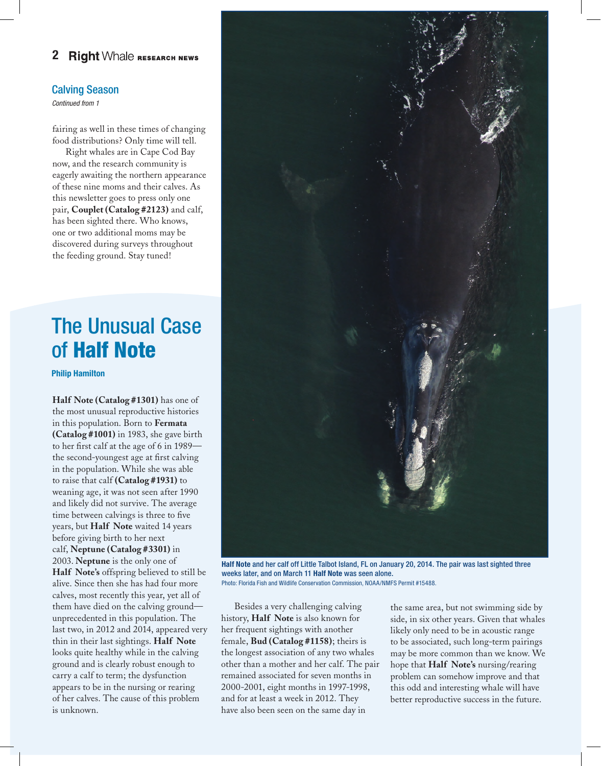#### 2 **Right** Whale RESEARCH NEWS

#### Calving Season

*Continued from 1*

fairing as well in these times of changing food distributions? Only time will tell.

Right whales are in Cape Cod Bay now, and the research community is eagerly awaiting the northern appearance of these nine moms and their calves. As this newsletter goes to press only one pair, **Couplet (Catalog #2123)** and calf, has been sighted there. Who knows, one or two additional moms may be discovered during surveys throughout the feeding ground. Stay tuned!

## The Unusual Case of Half Note

Philip Hamilton

**Half Note (Catalog #1301)** has one of the most unusual reproductive histories in this population. Born to **Fermata (Catalog #1001)** in 1983, she gave birth to her first calf at the age of 6 in 1989 the second-youngest age at first calving in the population. While she was able to raise that calf **(Catalog #1931)** to weaning age, it was not seen after 1990 and likely did not survive. The average time between calvings is three to five years, but **Half Note** waited 14 years before giving birth to her next calf, **Neptune (Catalog #3301)** in 2003. **Neptune** is the only one of **Half Note's** offspring believed to still be alive. Since then she has had four more calves, most recently this year, yet all of them have died on the calving ground unprecedented in this population. The last two, in 2012 and 2014, appeared very thin in their last sightings. **Half Note** looks quite healthy while in the calving ground and is clearly robust enough to carry a calf to term; the dysfunction appears to be in the nursing or rearing of her calves. The cause of this problem is unknown.



Half Note and her calf off Little Talbot Island, FL on January 20, 2014. The pair was last sighted three weeks later, and on March 11 Half Note was seen alone. Photo: Florida Fish and Wildlife Conservation Commission, NOAA/NMFS Permit #15488.

Besides a very challenging calving history, **Half Note** is also known for her frequent sightings with another female, **Bud (Catalog #1158)**; theirs is the longest association of any two whales other than a mother and her calf. The pair remained associated for seven months in 2000-2001, eight months in 1997-1998, and for at least a week in 2012. They have also been seen on the same day in

the same area, but not swimming side by side, in six other years. Given that whales likely only need to be in acoustic range to be associated, such long-term pairings may be more common than we know. We hope that **Half Note's** nursing/rearing problem can somehow improve and that this odd and interesting whale will have better reproductive success in the future.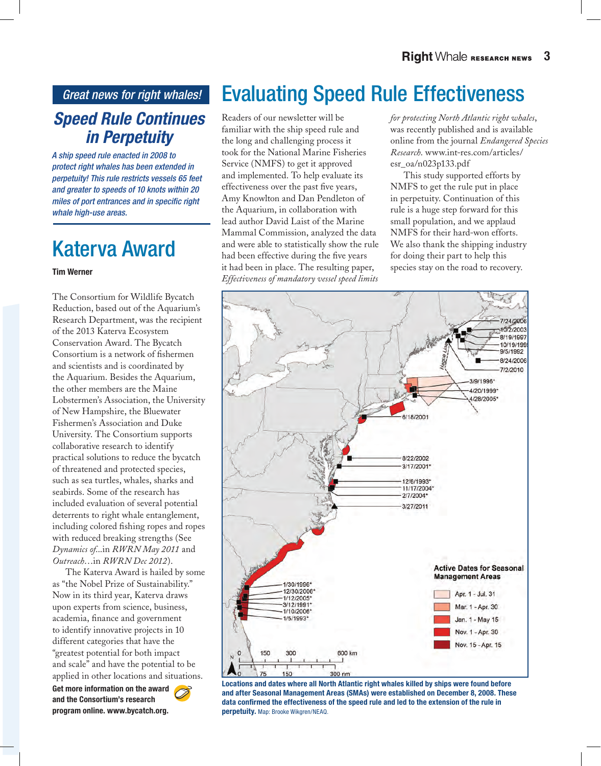*Great news for right whales!*

## *Speed Rule Continues in Perpetuity*

*A ship speed rule enacted in 2008 to protect right whales has been extended in perpetuity! This rule restricts vessels 65 feet and greater to speeds of 10 knots within 20 miles of port entrances and in specific right whale high-use areas.* 

## Katerva Award

#### Tim Werner

The Consortium for Wildlife Bycatch Reduction, based out of the Aquarium's Research Department, was the recipient of the 2013 Katerva Ecosystem Conservation Award. The Bycatch Consortium is a network of fishermen and scientists and is coordinated by the Aquarium. Besides the Aquarium, the other members are the Maine Lobstermen's Association, the University of New Hampshire, the Bluewater Fishermen's Association and Duke University. The Consortium supports collaborative research to identify practical solutions to reduce the bycatch of threatened and protected species, such as sea turtles, whales, sharks and seabirds. Some of the research has included evaluation of several potential deterrents to right whale entanglement, including colored fishing ropes and ropes with reduced breaking strengths (See *Dynamics of*...in *RWRN May 2011* and *Outreach*…in *RWRN Dec 2012*).

The Katerva Award is hailed by some as "the Nobel Prize of Sustainability." Now in its third year, Katerva draws upon experts from science, business, academia, finance and government to identify innovative projects in 10 different categories that have the "greatest potential for both impact and scale" and have the potential to be applied in other locations and situations.

Get more information on the award and the Consortium's research program online. www.bycatch.org.

Evaluating Speed Rule Effectiveness

Readers of our newsletter will be familiar with the ship speed rule and the long and challenging process it took for the National Marine Fisheries Service (NMFS) to get it approved and implemented. To help evaluate its effectiveness over the past five years, Amy Knowlton and Dan Pendleton of the Aquarium, in collaboration with lead author David Laist of the Marine Mammal Commission, analyzed the data and were able to statistically show the rule had been effective during the five years it had been in place. The resulting paper, *Effectiveness of mandatory vessel speed limits* 

*for protecting North Atlantic right whales*, was recently published and is available online from the journal *Endangered Species Research*. www.int-res.com/articles/ esr\_oa/n023p133.pdf

This study supported efforts by NMFS to get the rule put in place in perpetuity. Continuation of this rule is a huge step forward for this small population, and we applaud NMFS for their hard-won efforts. We also thank the shipping industry for doing their part to help this species stay on the road to recovery.



Locations and dates where all North Atlantic right whales killed by ships were found before and after Seasonal Management Areas (SMAs) were established on December 8, 2008. These data confirmed the effectiveness of the speed rule and led to the extension of the rule in perpetuity. Map: Brooke Wikgren/NEAQ.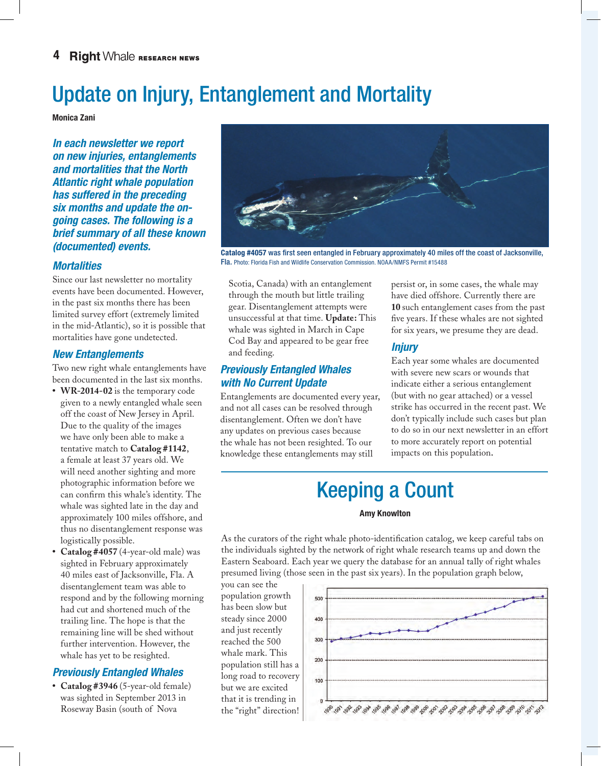## Update on Injury, Entanglement and Mortality

Monica Zani

*In each newsletter we report on new injuries, entanglements and mortalities that the North Atlantic right whale population has suffered in the preceding six months and update the ongoing cases. The following is a brief summary of all these known* 

#### *Mortalities*

Since our last newsletter no mortality events have been documented. However, in the past six months there has been limited survey effort (extremely limited in the mid-Atlantic), so it is possible that mortalities have gone undetected.

#### *New Entanglements*

Two new right whale entanglements have been documented in the last six months.

- **• WR-2014-02** is the temporary code given to a newly entangled whale seen off the coast of New Jersey in April. Due to the quality of the images we have only been able to make a tentative match to **Catalog #1142**, a female at least 37 years old. We will need another sighting and more photographic information before we can confirm this whale's identity. The whale was sighted late in the day and approximately 100 miles offshore, and thus no disentanglement response was logistically possible.
- **Catalog #4057** (4-year-old male) was sighted in February approximately 40 miles east of Jacksonville, Fla. A disentanglement team was able to respond and by the following morning had cut and shortened much of the trailing line. The hope is that the remaining line will be shed without further intervention. However, the whale has yet to be resighted.

## *Previously Entangled Whales*

**• Catalog #3946** (5-year-old female) was sighted in September 2013 in Roseway Basin (south of Nova



*(documented) events.* Catalog #4057 was first seen entangled in February approximately 40 miles off the coast of Jacksonville, Fla. Photo: Florida Fish and Wildlife Conservation Commission. NOAA/NMFS Permit #15488

Scotia, Canada) with an entanglement through the mouth but little trailing gear. Disentanglement attempts were unsuccessful at that time. **Update:** This whale was sighted in March in Cape Cod Bay and appeared to be gear free and feeding.

### *Previously Entangled Whales with No Current Update*

Entanglements are documented every year, and not all cases can be resolved through disentanglement. Often we don't have any updates on previous cases because the whale has not been resighted. To our knowledge these entanglements may still

persist or, in some cases, the whale may have died offshore. Currently there are **10** such entanglement cases from the past five years. If these whales are not sighted for six years, we presume they are dead.

## *Injury*

Each year some whales are documented with severe new scars or wounds that indicate either a serious entanglement (but with no gear attached) or a vessel strike has occurred in the recent past. We don't typically include such cases but plan to do so in our next newsletter in an effort to more accurately report on potential impacts on this population.

## Keeping a Count

#### Amy Knowlton

As the curators of the right whale photo-identification catalog, we keep careful tabs on the individuals sighted by the network of right whale research teams up and down the Eastern Seaboard. Each year we query the database for an annual tally of right whales presumed living (those seen in the past six years). In the population graph below,

you can see the population growth has been slow but steady since 2000 and just recently reached the 500 whale mark. This population still has a long road to recovery but we are excited that it is trending in the "right" direction!

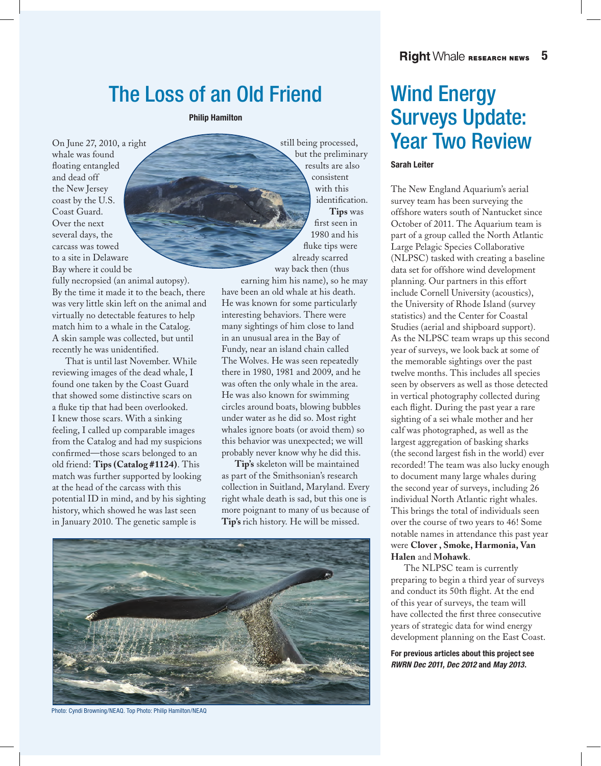## The Loss of an Old Friend

Philip Hamilton

On June 27, 2010, a right whale was found floating entangled and dead off the New Jersey coast by the U.S. Coast Guard. Over the next several days, the carcass was towed to a site in Delaware Bay where it could be

fully necropsied (an animal autopsy). By the time it made it to the beach, there was very little skin left on the animal and virtually no detectable features to help match him to a whale in the Catalog. A skin sample was collected, but until recently he was unidentified.

That is until last November. While reviewing images of the dead whale, I found one taken by the Coast Guard that showed some distinctive scars on a fluke tip that had been overlooked. I knew those scars. With a sinking feeling, I called up comparable images from the Catalog and had my suspicions confirmed—those scars belonged to an old friend: **Tips (Catalog #1124)**. This match was further supported by looking at the head of the carcass with this potential ID in mind, and by his sighting history, which showed he was last seen in January 2010. The genetic sample is

still being processed, but the preliminary results are also consistent with this identification. **Tips** was first seen in 1980 and his fluke tips were already scarred way back then (thus

earning him his name), so he may have been an old whale at his death. He was known for some particularly interesting behaviors. There were many sightings of him close to land in an unusual area in the Bay of Fundy, near an island chain called The Wolves. He was seen repeatedly there in 1980, 1981 and 2009, and he was often the only whale in the area. He was also known for swimming circles around boats, blowing bubbles under water as he did so. Most right whales ignore boats (or avoid them) so this behavior was unexpected; we will probably never know why he did this.

**Tip's** skeleton will be maintained as part of the Smithsonian's research collection in Suitland, Maryland. Every right whale death is sad, but this one is more poignant to many of us because of **Tip's** rich history. He will be missed.



Photo: Cyndi Browning/NEAQ. Top Photo: Philip Hamilton/NEAQ

## Wind Energy Surveys Update: Year Two Review

#### Sarah Leiter

The New England Aquarium's aerial survey team has been surveying the offshore waters south of Nantucket since October of 2011. The Aquarium team is part of a group called the North Atlantic Large Pelagic Species Collaborative (NLPSC) tasked with creating a baseline data set for offshore wind development planning. Our partners in this effort include Cornell University (acoustics), the University of Rhode Island (survey statistics) and the Center for Coastal Studies (aerial and shipboard support). As the NLPSC team wraps up this second year of surveys, we look back at some of the memorable sightings over the past twelve months. This includes all species seen by observers as well as those detected in vertical photography collected during each flight. During the past year a rare sighting of a sei whale mother and her calf was photographed, as well as the largest aggregation of basking sharks (the second largest fish in the world) ever recorded! The team was also lucky enough to document many large whales during the second year of surveys, including 26 individual North Atlantic right whales. This brings the total of individuals seen over the course of two years to 46! Some notable names in attendance this past year were **Clover , Smoke, Harmonia, Van Halen** and **Mohawk**.

The NLPSC team is currently preparing to begin a third year of surveys and conduct its 50th flight. At the end of this year of surveys, the team will have collected the first three consecutive years of strategic data for wind energy development planning on the East Coast.

For previous articles about this project see *RWRN Dec 2011, Dec 2012* and *May 2013*.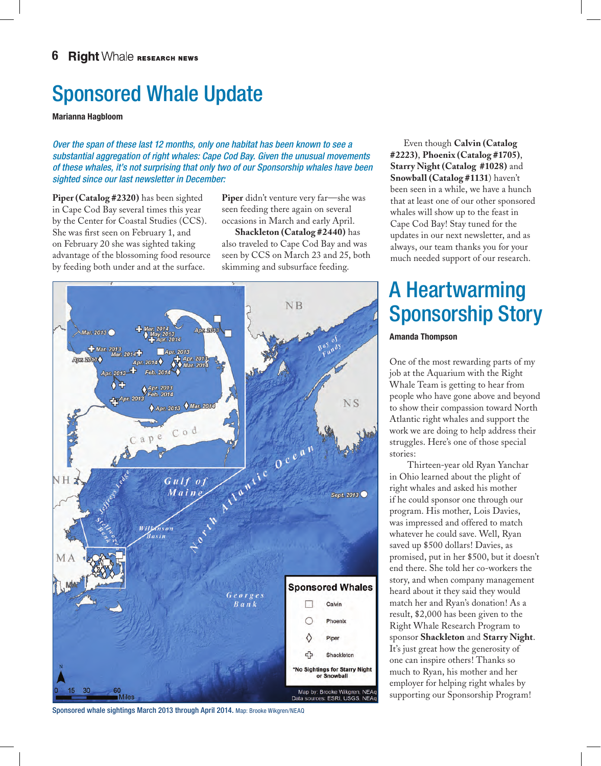## Sponsored Whale Update

Marianna Hagbloom

*Over the span of these last 12 months, only one habitat has been known to see a substantial aggregation of right whales: Cape Cod Bay. Given the unusual movements of these whales, it's not surprising that only two of our Sponsorship whales have been sighted since our last newsletter in December:*

**Piper (Catalog #2320)** has been sighted in Cape Cod Bay several times this year by the Center for Coastal Studies (CCS). She was first seen on February 1, and on February 20 she was sighted taking advantage of the blossoming food resource by feeding both under and at the surface.

**Piper** didn't venture very far—she was seen feeding there again on several occasions in March and early April.

**Shackleton (Catalog #2440)** has also traveled to Cape Cod Bay and was seen by CCS on March 23 and 25, both skimming and subsurface feeding.



Even though **Calvin (Catalog #2223)**, **Phoenix (Catalog #1705)**, **Starry Night (Catalog #1028)** and **Snowball (Catalog #1131**) haven't been seen in a while, we have a hunch that at least one of our other sponsored whales will show up to the feast in Cape Cod Bay! Stay tuned for the updates in our next newsletter, and as always, our team thanks you for your much needed support of our research.

## A Heartwarming Sponsorship Story

#### Amanda Thompson

One of the most rewarding parts of my job at the Aquarium with the Right Whale Team is getting to hear from people who have gone above and beyond to show their compassion toward North Atlantic right whales and support the work we are doing to help address their struggles. Here's one of those special stories:

 Thirteen-year old Ryan Yanchar in Ohio learned about the plight of right whales and asked his mother if he could sponsor one through our program. His mother, Lois Davies, was impressed and offered to match whatever he could save. Well, Ryan saved up \$500 dollars! Davies, as promised, put in her \$500, but it doesn't end there. She told her co-workers the story, and when company management heard about it they said they would match her and Ryan's donation! As a result, \$2,000 has been given to the Right Whale Research Program to sponsor **Shackleton** and **Starry Night**. It's just great how the generosity of one can inspire others! Thanks so much to Ryan, his mother and her employer for helping right whales by supporting our Sponsorship Program!

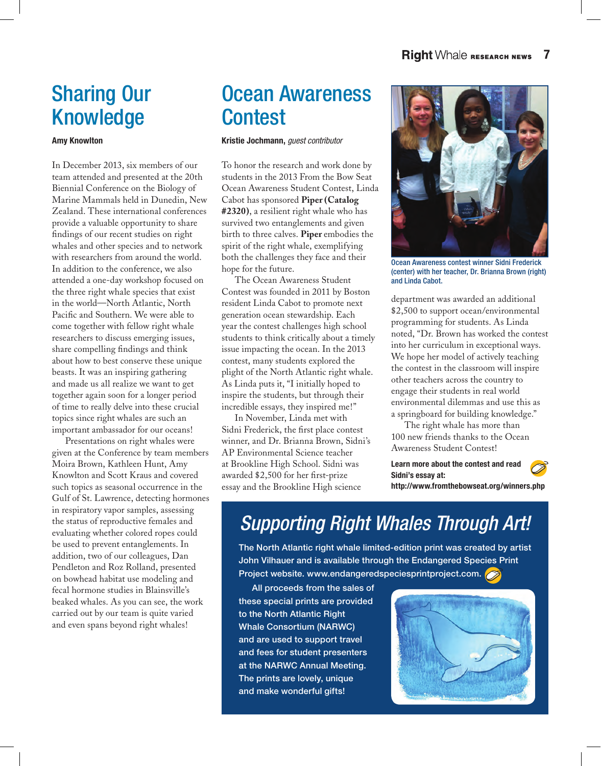## Sharing Our Knowledge

#### Amy Knowlton

In December 2013, six members of our team attended and presented at the 20th Biennial Conference on the Biology of Marine Mammals held in Dunedin, New Zealand. These international conferences provide a valuable opportunity to share findings of our recent studies on right whales and other species and to network with researchers from around the world. In addition to the conference, we also attended a one-day workshop focused on the three right whale species that exist in the world—North Atlantic, North Pacific and Southern. We were able to come together with fellow right whale researchers to discuss emerging issues, share compelling findings and think about how to best conserve these unique beasts. It was an inspiring gathering and made us all realize we want to get together again soon for a longer period of time to really delve into these crucial topics since right whales are such an important ambassador for our oceans!

Presentations on right whales were given at the Conference by team members Moira Brown, Kathleen Hunt, Amy Knowlton and Scott Kraus and covered such topics as seasonal occurrence in the Gulf of St. Lawrence, detecting hormones in respiratory vapor samples, assessing the status of reproductive females and evaluating whether colored ropes could be used to prevent entanglements. In addition, two of our colleagues, Dan Pendleton and Roz Rolland, presented on bowhead habitat use modeling and fecal hormone studies in Blainsville's beaked whales. As you can see, the work carried out by our team is quite varied and even spans beyond right whales!

## Ocean Awareness **Contest**

Kristie Jochmann, *guest contributor*

To honor the research and work done by students in the 2013 From the Bow Seat Ocean Awareness Student Contest, Linda Cabot has sponsored **Piper (Catalog #2320)**, a resilient right whale who has survived two entanglements and given birth to three calves. **Piper** embodies the spirit of the right whale, exemplifying both the challenges they face and their hope for the future.

The Ocean Awareness Student Contest was founded in 2011 by Boston resident Linda Cabot to promote next generation ocean stewardship. Each year the contest challenges high school students to think critically about a timely issue impacting the ocean. In the 2013 contest, many students explored the plight of the North Atlantic right whale. As Linda puts it, "I initially hoped to inspire the students, but through their incredible essays, they inspired me!"

In November, Linda met with Sidni Frederick, the first place contest winner, and Dr. Brianna Brown, Sidni's AP Environmental Science teacher at Brookline High School. Sidni was awarded \$2,500 for her first-prize essay and the Brookline High science



Ocean Awareness contest winner Sidni Frederick (center) with her teacher, Dr. Brianna Brown (right) and Linda Cabot.

department was awarded an additional \$2,500 to support ocean/environmental programming for students. As Linda noted, "Dr. Brown has worked the contest into her curriculum in exceptional ways. We hope her model of actively teaching the contest in the classroom will inspire other teachers across the country to engage their students in real world environmental dilemmas and use this as a springboard for building knowledge."

The right whale has more than 100 new friends thanks to the Ocean Awareness Student Contest!

Learn more about the contest and read Sidni's essay at: http://www.fromthebowseat.org/winners.php

## *Supporting Right Whales Through Art!*

The North Atlantic right whale limited-edition print was created by artist John Vilhauer and is available through the Endangered Species Print Project website. www.endangeredspeciesprintproject.com.

All proceeds from the sales of these special prints are provided to the North Atlantic Right Whale Consortium (NARWC) and are used to support travel and fees for student presenters at the NARWC Annual Meeting. The prints are lovely, unique and make wonderful gifts!